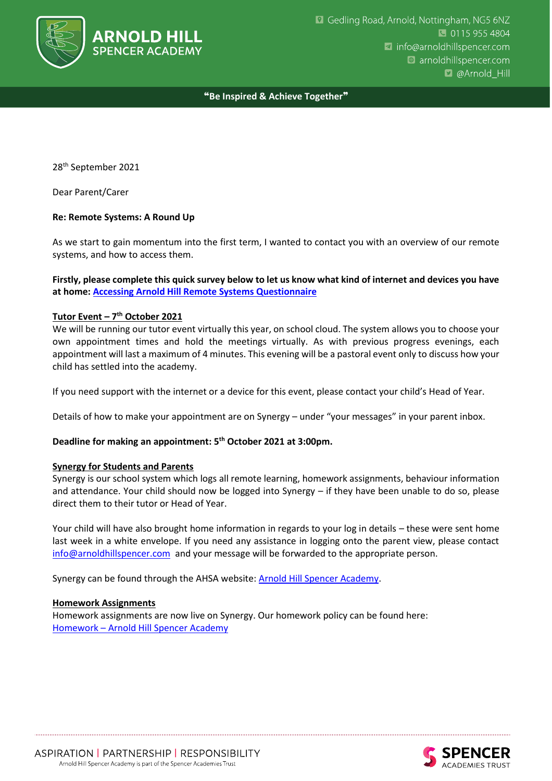

# ❝**Be Inspired & Achieve Together**❞

28 th September 2021

Dear Parent/Carer

# **Re: Remote Systems: A Round Up**

As we start to gain momentum into the first term, I wanted to contact you with an overview of our remote systems, and how to access them.

**Firstly, please complete this quick survey below to let us know what kind of internet and devices you have at home: [Accessing Arnold Hill Remote Systems Questionnaire](https://forms.gle/rwxhAwyHULMn8GJbA)**

# **Tutor Event – 7 th October 2021**

We will be running our tutor event virtually this year, on school cloud. The system allows you to choose your own appointment times and hold the meetings virtually. As with previous progress evenings, each appointment will last a maximum of 4 minutes. This evening will be a pastoral event only to discuss how your child has settled into the academy.

If you need support with the internet or a device for this event, please contact your child's Head of Year.

Details of how to make your appointment are on Synergy – under "your messages" in your parent inbox.

### **Deadline for making an appointment: 5th October 2021 at 3:00pm.**

### **Synergy for Students and Parents**

Synergy is our school system which logs all remote learning, homework assignments, behaviour information and attendance. Your child should now be logged into Synergy – if they have been unable to do so, please direct them to their tutor or Head of Year.

Your child will have also brought home information in regards to your log in details – these were sent home last week in a white envelope. If you need any assistance in logging onto the parent view, please contact [info@arnoldhillspencer.com](mailto:info@arnoldhillspencer.com) and your message will be forwarded to the appropriate person.

Synergy can be found through the AHSA website: **Arnold Hill Spencer Academy**.

### **Homework Assignments**

Homework assignments are now live on Synergy. Our homework policy can be found here: Homework – [Arnold Hill Spencer Academy](http://arnoldhillspencer.com/homework/)